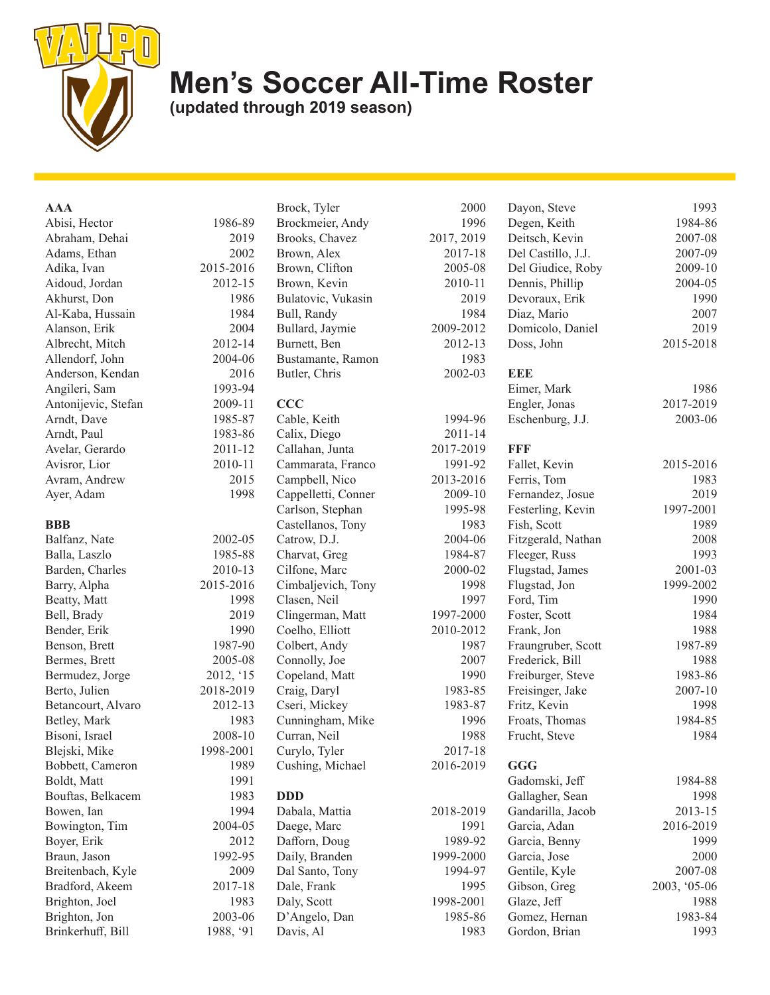

## **Men's Soccer All-Time Roster**

**(updated through 2019 season)**

| <b>AAA</b>          |           | Brock, Tyler        | 2000       | Dayon, Steve       | 1993         |
|---------------------|-----------|---------------------|------------|--------------------|--------------|
| Abisi, Hector       | 1986-89   | Brockmeier, Andy    | 1996       | Degen, Keith       | 1984-86      |
| Abraham, Dehai      | 2019      | Brooks, Chavez      | 2017, 2019 | Deitsch, Kevin     | 2007-08      |
| Adams, Ethan        | 2002      | Brown, Alex         | 2017-18    | Del Castillo, J.J. | 2007-09      |
| Adika, Ivan         | 2015-2016 | Brown, Clifton      | 2005-08    | Del Giudice, Roby  | 2009-10      |
| Aidoud, Jordan      | 2012-15   | Brown, Kevin        | 2010-11    | Dennis, Phillip    | 2004-05      |
| Akhurst, Don        | 1986      | Bulatovic, Vukasin  | 2019       | Devoraux, Erik     | 1990         |
| Al-Kaba, Hussain    | 1984      | Bull, Randy         | 1984       | Diaz, Mario        | 2007         |
| Alanson, Erik       | 2004      | Bullard, Jaymie     | 2009-2012  | Domicolo, Daniel   | 2019         |
| Albrecht, Mitch     | 2012-14   | Burnett, Ben        | 2012-13    | Doss, John         | 2015-2018    |
| Allendorf, John     | 2004-06   | Bustamante, Ramon   | 1983       |                    |              |
| Anderson, Kendan    | 2016      | Butler, Chris       | 2002-03    | <b>EEE</b>         |              |
| Angileri, Sam       | 1993-94   |                     |            | Eimer, Mark        | 1986         |
| Antonijevic, Stefan | 2009-11   | <b>CCC</b>          |            | Engler, Jonas      | 2017-2019    |
| Arndt, Dave         | 1985-87   | Cable, Keith        | 1994-96    | Eschenburg, J.J.   | 2003-06      |
| Arndt, Paul         | 1983-86   | Calix, Diego        | 2011-14    |                    |              |
| Avelar, Gerardo     | 2011-12   | Callahan, Junta     | 2017-2019  | FFF                |              |
| Avisror, Lior       | 2010-11   | Cammarata, Franco   | 1991-92    | Fallet, Kevin      | 2015-2016    |
| Avram, Andrew       | 2015      | Campbell, Nico      | 2013-2016  | Ferris, Tom        | 1983         |
| Ayer, Adam          | 1998      | Cappelletti, Conner | 2009-10    | Fernandez, Josue   | 2019         |
|                     |           | Carlson, Stephan    | 1995-98    | Festerling, Kevin  | 1997-2001    |
| <b>BBB</b>          |           | Castellanos, Tony   | 1983       | Fish, Scott        | 1989         |
| Balfanz, Nate       | 2002-05   | Catrow, D.J.        | 2004-06    | Fitzgerald, Nathan | 2008         |
| Balla, Laszlo       | 1985-88   | Charvat, Greg       | 1984-87    | Fleeger, Russ      | 1993         |
| Barden, Charles     | 2010-13   | Cilfone, Marc       | 2000-02    | Flugstad, James    | 2001-03      |
| Barry, Alpha        | 2015-2016 | Cimbaljevich, Tony  | 1998       | Flugstad, Jon      | 1999-2002    |
| Beatty, Matt        | 1998      | Clasen, Neil        | 1997       | Ford, Tim          | 1990         |
| Bell, Brady         | 2019      | Clingerman, Matt    | 1997-2000  | Foster, Scott      | 1984         |
| Bender, Erik        | 1990      | Coelho, Elliott     | 2010-2012  | Frank, Jon         | 1988         |
| Benson, Brett       | 1987-90   | Colbert, Andy       | 1987       | Fraungruber, Scott | 1987-89      |
| Bermes, Brett       | 2005-08   | Connolly, Joe       | 2007       | Frederick, Bill    | 1988         |
| Bermudez, Jorge     | 2012, '15 | Copeland, Matt      | 1990       | Freiburger, Steve  | 1983-86      |
| Berto, Julien       | 2018-2019 | Craig, Daryl        | 1983-85    | Freisinger, Jake   | 2007-10      |
| Betancourt, Alvaro  | 2012-13   | Cseri, Mickey       | 1983-87    | Fritz, Kevin       | 1998         |
| Betley, Mark        | 1983      | Cunningham, Mike    | 1996       | Froats, Thomas     | 1984-85      |
| Bisoni, Israel      | 2008-10   | Curran, Neil        | 1988       | Frucht, Steve      | 1984         |
| Blejski, Mike       | 1998-2001 | Curylo, Tyler       | 2017-18    |                    |              |
| Bobbett, Cameron    | 1989      | Cushing, Michael    | 2016-2019  | GGG                |              |
| Boldt, Matt         | 1991      |                     |            | Gadomski, Jeff     | 1984-88      |
| Bouftas, Belkacem   | 1983      | <b>DDD</b>          |            | Gallagher, Sean    | 1998         |
| Bowen, Ian          | 1994      | Dabala, Mattia      | 2018-2019  | Gandarilla, Jacob  | 2013-15      |
| Bowington, Tim      | 2004-05   | Daege, Marc         | 1991       | Garcia, Adan       | 2016-2019    |
| Boyer, Erik         | 2012      | Dafforn, Doug       | 1989-92    | Garcia, Benny      | 1999         |
| Braun, Jason        | 1992-95   | Daily, Branden      | 1999-2000  | Garcia, Jose       | 2000         |
| Breitenbach, Kyle   | 2009      | Dal Santo, Tony     | 1994-97    | Gentile, Kyle      | 2007-08      |
| Bradford, Akeem     | 2017-18   | Dale, Frank         | 1995       | Gibson, Greg       | 2003, '05-06 |
| Brighton, Joel      | 1983      | Daly, Scott         | 1998-2001  | Glaze, Jeff        | 1988         |
| Brighton, Jon       | 2003-06   | D'Angelo, Dan       | 1985-86    | Gomez, Hernan      | 1983-84      |
| Brinkerhuff, Bill   | 1988, '91 | Davis, Al           | 1983       | Gordon, Brian      | 1993         |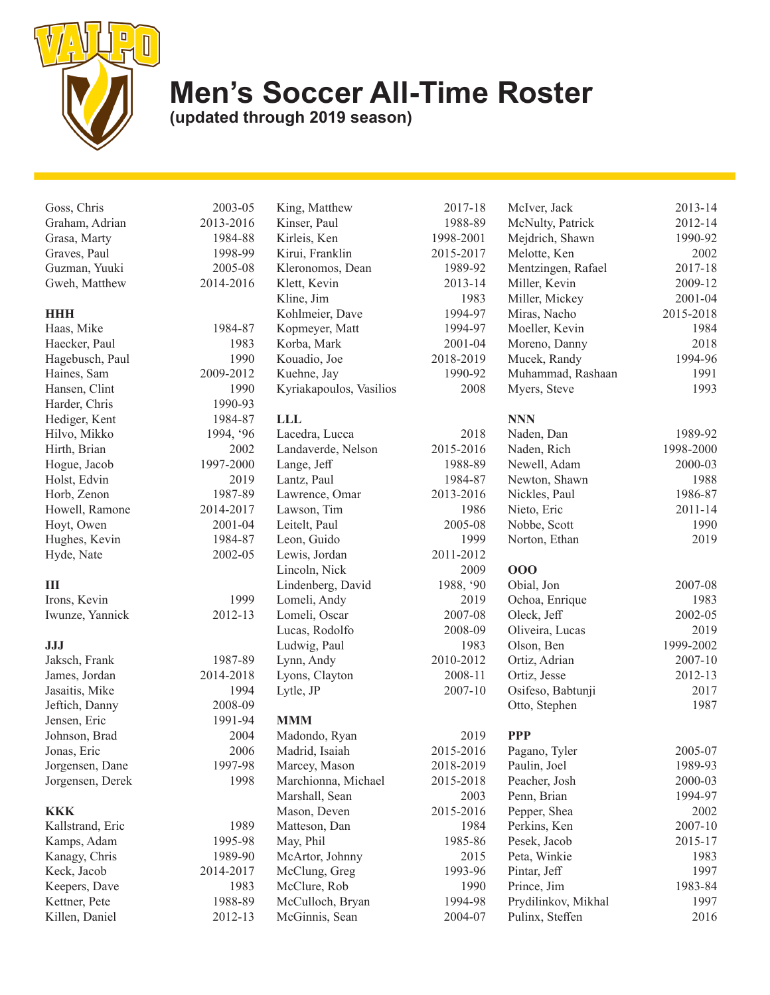

## **Men's Soccer All-Time Roster**

**(updated through 2019 season)**

Graham, Adrian 2013-20 Grasa, Marty 1984-Graves, Paul 1998-Guzman, Yuuki 2005-Gweh, Matthew 2014-20 **HHH** Haas, Mike 1984-Haecker, Paul 19 Hagebusch, Paul 19<br>
Haines, Sam 2009-20 Haines, Sam Hansen, Clint 19 Harder, Chris 1990-Hediger, Kent 1984-Hilvo, Mikko 1994, ' Hirth, Brian 20 Hogue, Jacob 1997-20 Holst, Edvin 20 Horb, Zenon 1987-Howell, Ramone 2014-20 Hoyt, Owen 2001-Hughes, Kevin 1984-Hyde, Nate 2002-**III** Irons, Kevin 19 Iwunze, Yannick 2012-**JJJ** Jaksch, Frank 1987-James, Jordan 2014-20 Jasaitis, Mike 19<br>Jeftich, Danny 2008-Jeftich, Danny Jensen, Eric 1991-Johnson, Brad 20 Jonas, Eric 2006 Jorgensen, Dane 1997-98 Jorgensen, Derek 1998

## **KKK**

Kallstrand, Eric 1989 Kamps, Adam 1995-98 Kanagy, Chris 1989-90 Keck, Jacob 2014-2017 Keepers, Dave 1983 Kettner, Pete 1988-89 Killen, Daniel 2012-13

| Goss, Chris     | 2003-05   | King, Matthew              | 2017-18   |
|-----------------|-----------|----------------------------|-----------|
| Graham, Adrian  | 2013-2016 | Kinser, Paul               | 1988-89   |
| Grasa, Marty    | 1984-88   | Kirleis, Ken               | 1998-2001 |
| Graves, Paul    | 1998-99   | Kirui, Franklin            | 2015-2017 |
| Guzman, Yuuki   | 2005-08   | Kleronomos, Dean           | 1989-92   |
| Gweh, Matthew   | 2014-2016 | Klett, Kevin<br>2013-14    |           |
|                 |           | Kline, Jim                 | 1983      |
| <b>HHH</b>      |           | Kohlmeier, Dave            | 1994-97   |
| Haas, Mike      | 1984-87   | Kopmeyer, Matt             | 1994-97   |
| Haecker, Paul   | 1983      | Korba, Mark                | 2001-04   |
| Hagebusch, Paul | 1990      | Kouadio, Joe               | 2018-2019 |
| Haines, Sam     | 2009-2012 | Kuehne, Jay                | 1990-92   |
| Hansen, Clint   | 1990      | Kyriakapoulos, Vasilios    | 2008      |
| Harder, Chris   | 1990-93   |                            |           |
| Hediger, Kent   | 1984-87   | LLL                        |           |
| Hilvo, Mikko    | 1994, '96 | Lacedra, Lucca             | 2018      |
| Hirth, Brian    | 2002      | Landaverde, Nelson         | 2015-2016 |
| Hogue, Jacob    | 1997-2000 | Lange, Jeff                | 1988-89   |
| Holst, Edvin    | 2019      | Lantz, Paul                | 1984-87   |
| Horb, Zenon     | 1987-89   | Lawrence, Omar             | 2013-2016 |
| Howell, Ramone  | 2014-2017 | Lawson, Tim                | 1986      |
| Hoyt, Owen      | 2001-04   | Leitelt, Paul              | 2005-08   |
| Hughes, Kevin   | 1984-87   | Leon, Guido                | 1999      |
| Hyde, Nate      | 2002-05   | Lewis, Jordan<br>2011-2012 |           |
|                 |           | Lincoln, Nick              | 2009      |
| Ш               |           | Lindenberg, David          | 1988, '90 |
| Irons, Kevin    | 1999      | Lomeli, Andy               | 2019      |
| Iwunze, Yannick | 2012-13   | Lomeli, Oscar              | 2007-08   |
|                 |           | Lucas, Rodolfo             | 2008-09   |
| JJJ             |           | Ludwig, Paul               | 1983      |
| Jaksch, Frank   | 1987-89   | Lynn, Andy                 | 2010-2012 |
| James, Jordan   | 2014-2018 | Lyons, Clayton             | 2008-11   |
| Jasaitis, Mike  | 1994      | Lytle, JP<br>2007-10       |           |
| Jeftich, Danny  | 2008-09   |                            |           |
| Jensen, Eric    | 1991-94   | <b>MMM</b>                 |           |
| Johnson, Brad   | 2004      | Madondo, Ryan              | 2019      |

| Madondo, Ryan       | 2019      |
|---------------------|-----------|
| Madrid, Isaiah      | 2015-2016 |
| Marcey, Mason       | 2018-2019 |
| Marchionna, Michael | 2015-2018 |
| Marshall, Sean      | 2003      |
| Mason, Deven        | 2015-2016 |
| Matteson, Dan       | 1984      |
| May, Phil           | 1985-86   |
| McArtor, Johnny     | 2015      |
| McClung, Greg       | 1993-96   |
| McClure, Rob        | 1990      |
| McCulloch, Bryan    | 1994-98   |
| McGinnis, Sean      | 2004-07   |
|                     |           |

| 017-18     | McIver, Jack        | 2013-14   |
|------------|---------------------|-----------|
| 988-89     | McNulty, Patrick    | 2012-14   |
| 8-2001     | Mejdrich, Shawn     | 1990-92   |
| 5-2017     | Melotte, Ken        | 2002      |
| 989-92     | Mentzingen, Rafael  | 2017-18   |
| 013-14     | Miller, Kevin       | 2009-12   |
| 1983       | Miller, Mickey      | 2001-04   |
| 994-97     | Miras, Nacho        | 2015-2018 |
| 994-97     | Moeller, Kevin      | 1984      |
| $001 - 04$ | Moreno, Danny       | 2018      |
| 8-2019     | Mucek, Randy        | 1994-96   |
| 990-92     | Muhammad, Rashaan   | 1991      |
| 2008       | Myers, Steve        | 1993      |
|            | <b>NNN</b>          |           |
| 2018       | Naden, Dan          | 1989-92   |
| 5-2016     | Naden, Rich         | 1998-2000 |
| 988-89     | Newell, Adam        | 2000-03   |
| 984-87     | Newton, Shawn       | 1988      |
| 3-2016     | Nickles, Paul       | 1986-87   |
| 1986       | Nieto, Eric         | 2011-14   |
| 005-08     | Nobbe, Scott        | 1990      |
| 1999       | Norton, Ethan       | 2019      |
| 1-2012     |                     |           |
| 2009       | 000                 |           |
| 88, '90    | Obial, Jon          | 2007-08   |
| 2019       | Ochoa, Enrique      | 1983      |
| 007-08     | Oleck, Jeff         | 2002-05   |
| 008-09     | Oliveira, Lucas     | 2019      |
| 1983       | Olson, Ben          | 1999-2002 |
| $0 - 2012$ | Ortiz, Adrian       | 2007-10   |
| $008 - 11$ | Ortiz, Jesse        | 2012-13   |
| $007 - 10$ | Osifeso, Babtunji   | 2017      |
|            | Otto, Stephen       | 1987      |
| 2019       | <b>PPP</b>          |           |
| 5-2016     | Pagano, Tyler       | 2005-07   |
| 8-2019     | Paulin, Joel        | 1989-93   |
| 5-2018     | Peacher, Josh       | 2000-03   |
| 2003       | Penn, Brian         | 1994-97   |
| 5-2016     | Pepper, Shea        | 2002      |
| 1984       | Perkins, Ken        | 2007-10   |
| 985-86     | Pesek, Jacob        | 2015-17   |
| 2015       | Peta, Winkie        | 1983      |
| 993-96     | Pintar, Jeff        | 1997      |
| 1990       | Prince, Jim         | 1983-84   |
| 994-98     | Prydilinkov, Mikhal | 1997      |
| 004-07     | Pulinx, Steffen     | 2016      |